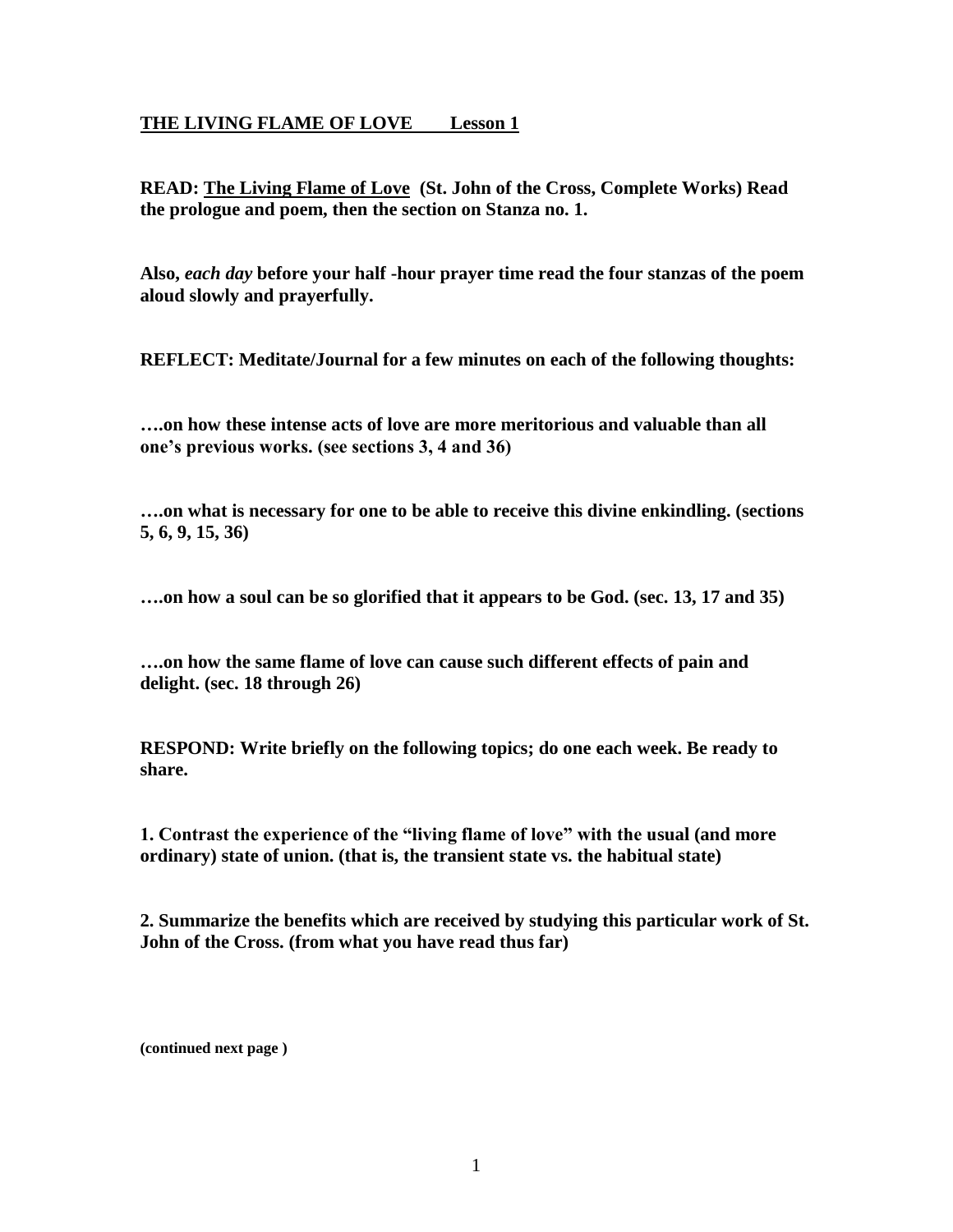# **THE LIVING FLAME OF LOVE Lesson 1**

**READ: The Living Flame of Love (St. John of the Cross, Complete Works) Read the prologue and poem, then the section on Stanza no. 1.**

**Also,** *each day* **before your half -hour prayer time read the four stanzas of the poem aloud slowly and prayerfully.** 

**REFLECT: Meditate/Journal for a few minutes on each of the following thoughts:** 

**….on how these intense acts of love are more meritorious and valuable than all one's previous works. (see sections 3, 4 and 36)** 

**….on what is necessary for one to be able to receive this divine enkindling. (sections 5, 6, 9, 15, 36)** 

**….on how a soul can be so glorified that it appears to be God. (sec. 13, 17 and 35)** 

**….on how the same flame of love can cause such different effects of pain and delight. (sec. 18 through 26)** 

**RESPOND: Write briefly on the following topics; do one each week. Be ready to share.**

**1. Contrast the experience of the "living flame of love" with the usual (and more ordinary) state of union. (that is, the transient state vs. the habitual state)** 

**2. Summarize the benefits which are received by studying this particular work of St. John of the Cross. (from what you have read thus far)**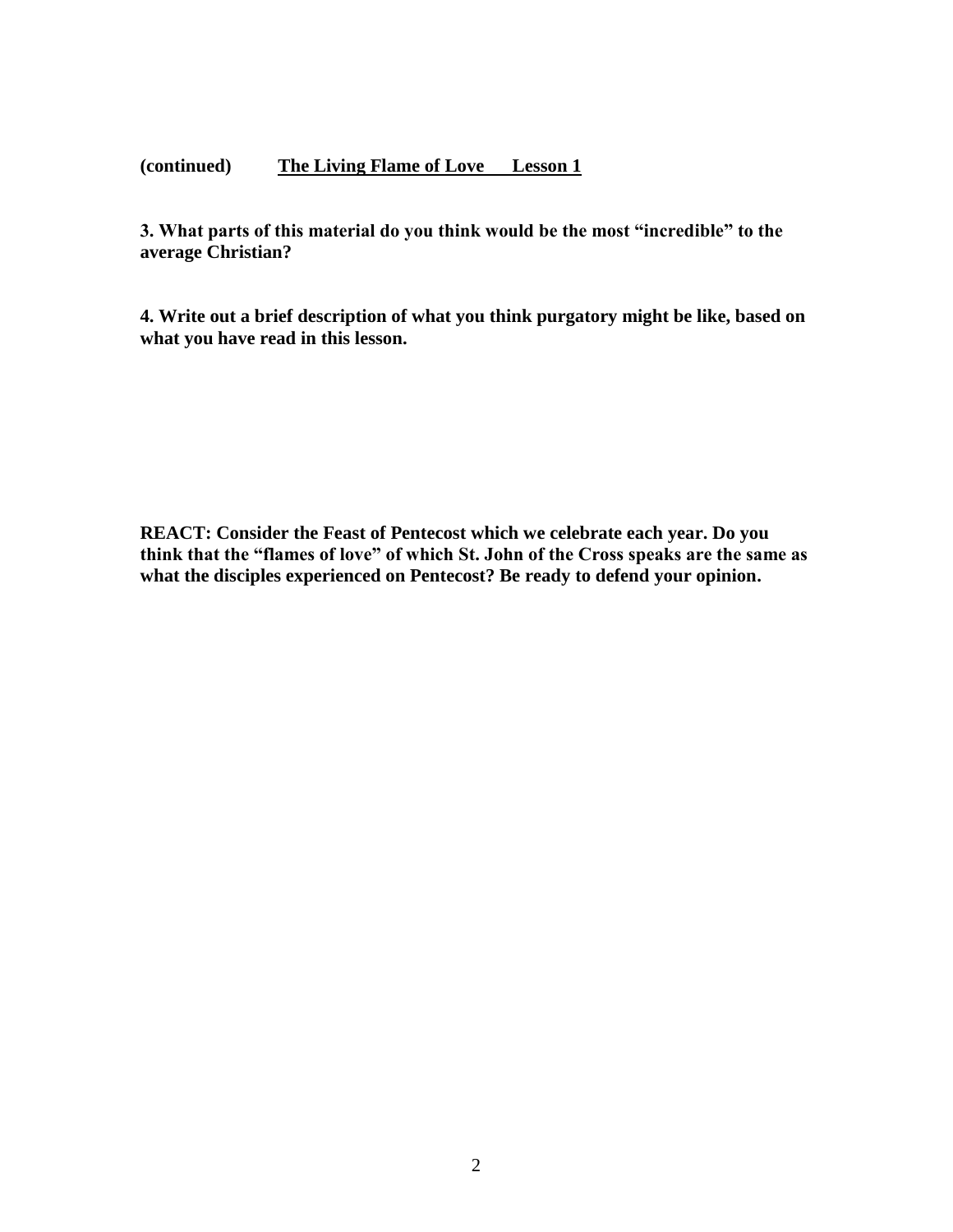**3. What parts of this material do you think would be the most "incredible" to the average Christian?** 

**4. Write out a brief description of what you think purgatory might be like, based on what you have read in this lesson.** 

**REACT: Consider the Feast of Pentecost which we celebrate each year. Do you think that the "flames of love" of which St. John of the Cross speaks are the same as what the disciples experienced on Pentecost? Be ready to defend your opinion.**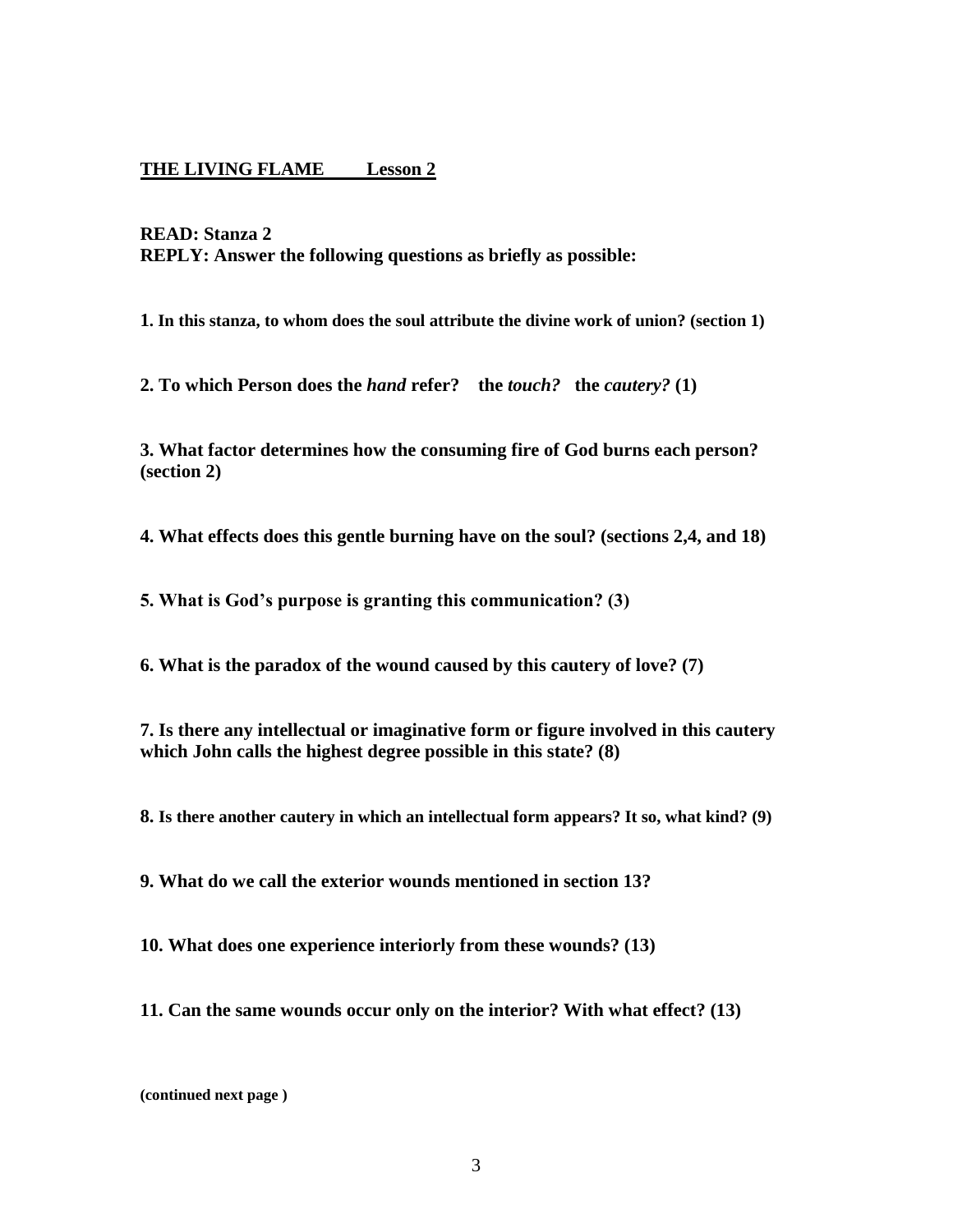#### **THE LIVING FLAME Lesson 2**

**READ: Stanza 2 REPLY: Answer the following questions as briefly as possible:** 

**1. In this stanza, to whom does the soul attribute the divine work of union? (section 1)**

**2. To which Person does the** *hand* **refer? the** *touch?* **the** *cautery?* **(1)** 

**3. What factor determines how the consuming fire of God burns each person? (section 2)** 

**4. What effects does this gentle burning have on the soul? (sections 2,4, and 18)** 

**5. What is God's purpose is granting this communication? (3)** 

**6. What is the paradox of the wound caused by this cautery of love? (7)** 

**7. Is there any intellectual or imaginative form or figure involved in this cautery which John calls the highest degree possible in this state? (8)** 

**8. Is there another cautery in which an intellectual form appears? It so, what kind? (9)**

**9. What do we call the exterior wounds mentioned in section 13?** 

**10. What does one experience interiorly from these wounds? (13)** 

**11. Can the same wounds occur only on the interior? With what effect? (13)**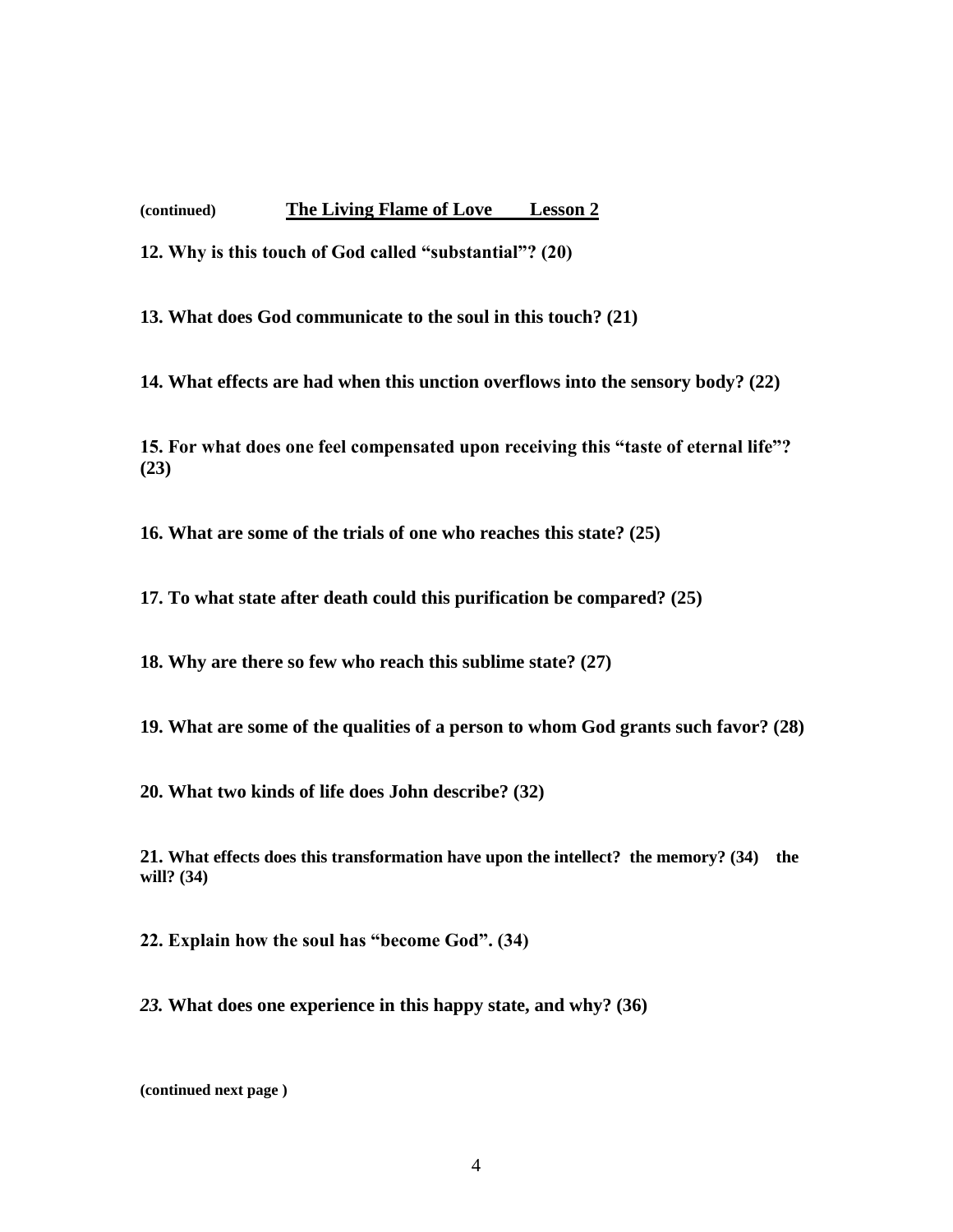**12. Why is this touch of God called "substantial"? (20)** 

**13. What does God communicate to the soul in this touch? (21)** 

**14. What effects are had when this unction overflows into the sensory body? (22)** 

**15. For what does one feel compensated upon receiving this "taste of eternal life"? (23)** 

**16. What are some of the trials of one who reaches this state? (25)** 

**17. To what state after death could this purification be compared? (25)** 

**18. Why are there so few who reach this sublime state? (27)** 

**19. What are some of the qualities of a person to whom God grants such favor? (28)** 

**20. What two kinds of life does John describe? (32)** 

**21. What effects does this transformation have upon the intellect? the memory? (34) the will? (34)** 

**22. Explain how the soul has "become God". (34)** 

*23.* **What does one experience in this happy state, and why? (36)**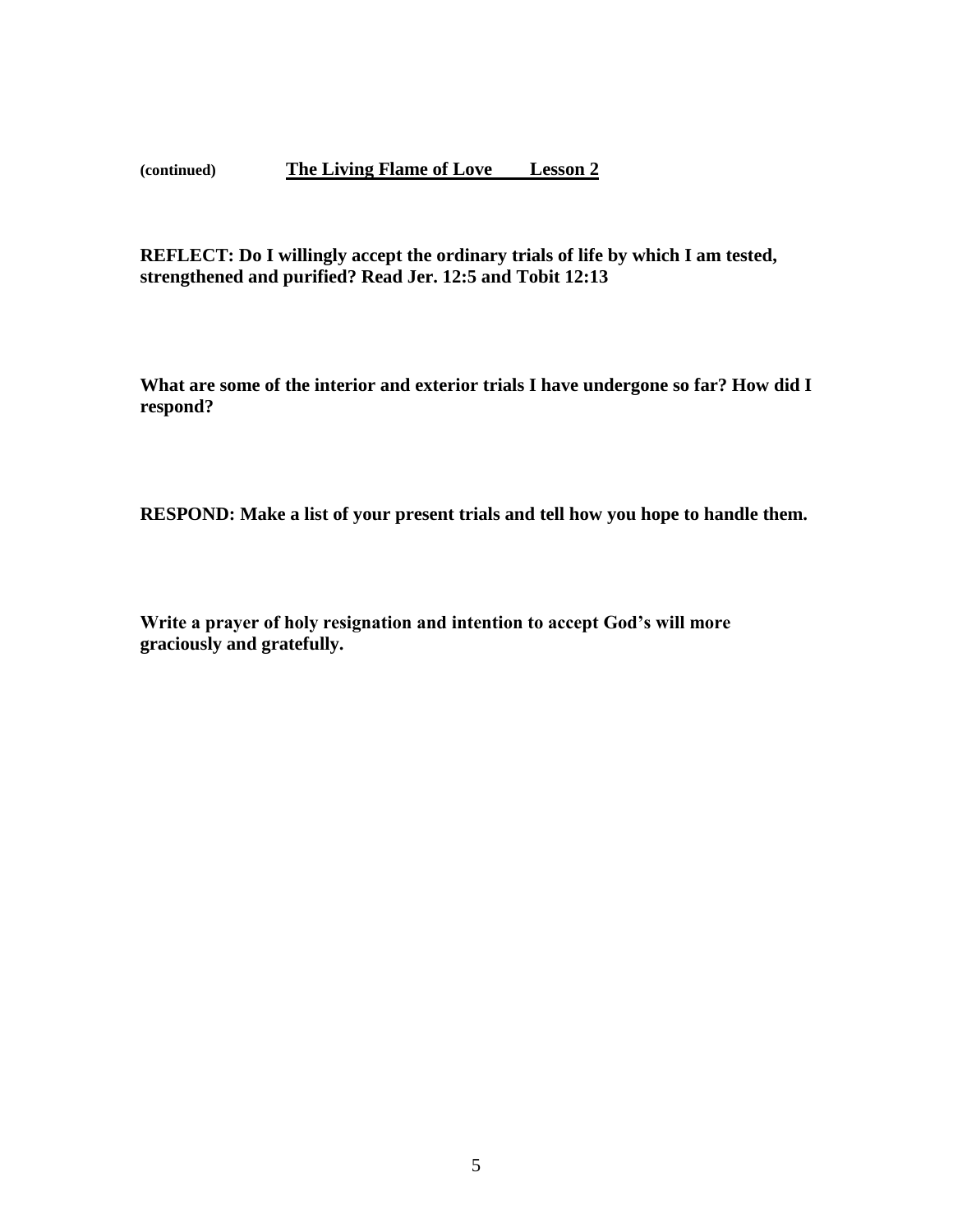**REFLECT: Do I willingly accept the ordinary trials of life by which I am tested, strengthened and purified? Read Jer. 12:5 and Tobit 12:13**

**What are some of the interior and exterior trials I have undergone so far? How did I respond?**

**RESPOND: Make a list of your present trials and tell how you hope to handle them.**

**Write a prayer of holy resignation and intention to accept God's will more graciously and gratefully.**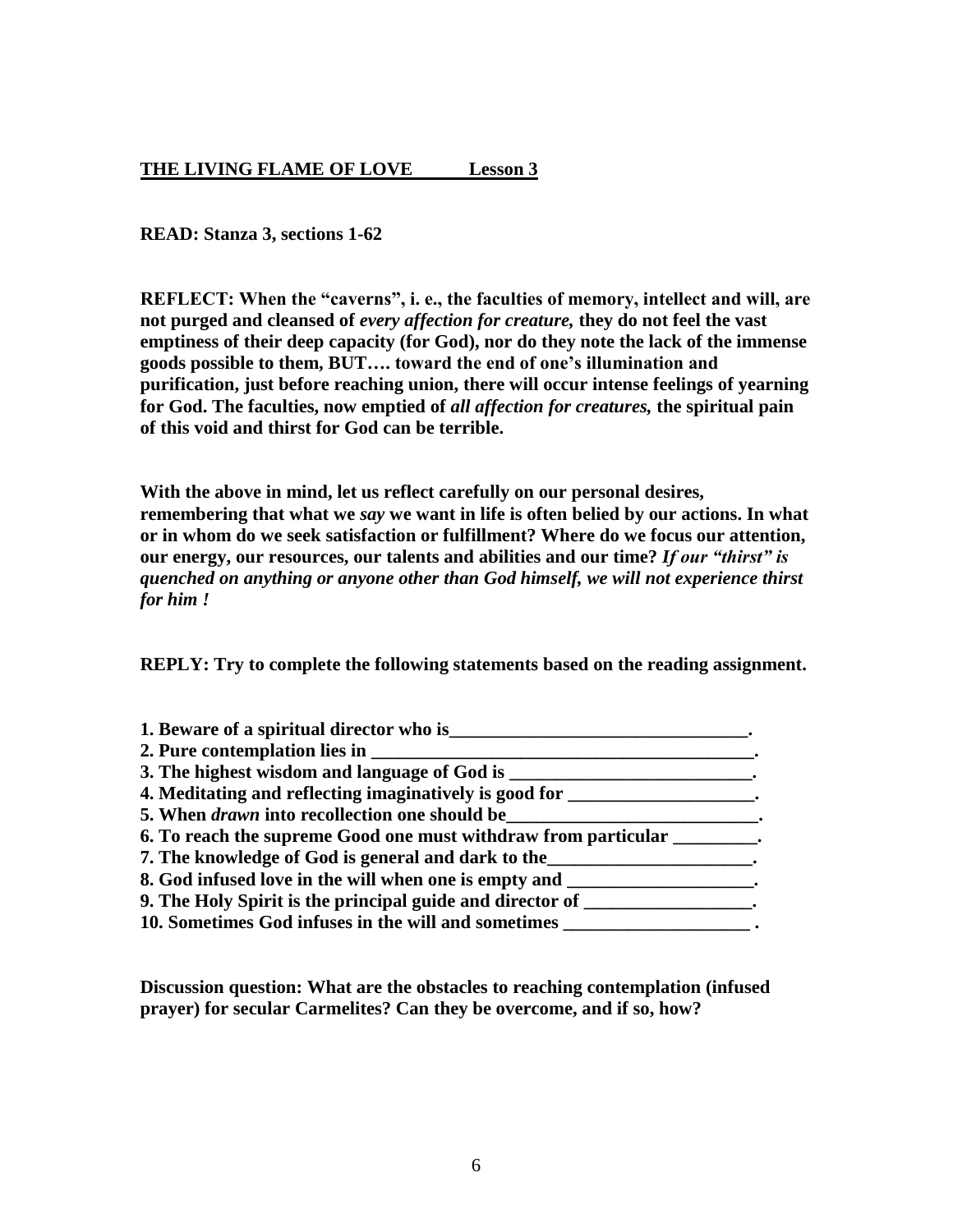# **THE LIVING FLAME OF LOVE Lesson 3**

**READ: Stanza 3, sections 1-62** 

**REFLECT: When the "caverns", i. e., the faculties of memory, intellect and will, are not purged and cleansed of** *every affection for creature,* **they do not feel the vast emptiness of their deep capacity (for God), nor do they note the lack of the immense goods possible to them, BUT…. toward the end of one's illumination and purification, just before reaching union, there will occur intense feelings of yearning for God. The faculties, now emptied of** *all affection for creatures,* **the spiritual pain of this void and thirst for God can be terrible.**

**With the above in mind, let us reflect carefully on our personal desires, remembering that what we** *say* **we want in life is often belied by our actions. In what or in whom do we seek satisfaction or fulfillment? Where do we focus our attention, our energy, our resources, our talents and abilities and our time?** *If our "thirst" is quenched on anything or anyone other than God himself, we will not experience thirst for him !*

**REPLY: Try to complete the following statements based on the reading assignment.** 

| 1. Beware of a spiritual director who is                                          |  |
|-----------------------------------------------------------------------------------|--|
| 2. Pure contemplation lies in                                                     |  |
| 3. The highest wisdom and language of God is _______                              |  |
| 4. Meditating and reflecting imaginatively is good for                            |  |
| 5. When <i>drawn</i> into recollection one should be                              |  |
| 6. To reach the supreme Good one must withdraw from particular _________.         |  |
| 7. The knowledge of God is general and dark to the                                |  |
| 8. God infused love in the will when one is empty and __________________________. |  |
| 9. The Holy Spirit is the principal guide and director of                         |  |
| 10. Sometimes God infuses in the will and sometimes                               |  |

**Discussion question: What are the obstacles to reaching contemplation (infused prayer) for secular Carmelites? Can they be overcome, and if so, how?**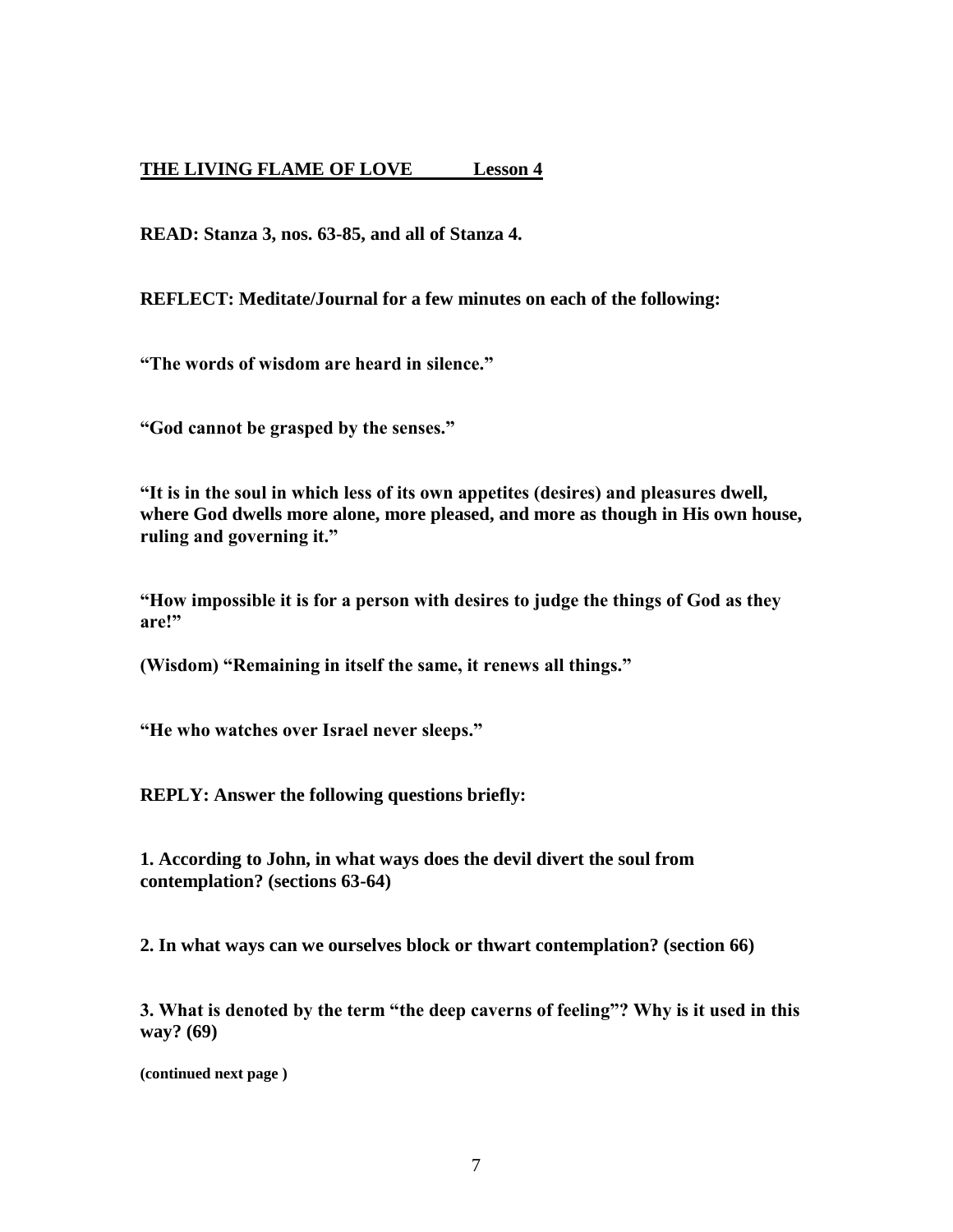# **THE LIVING FLAME OF LOVE Lesson 4**

**READ: Stanza 3, nos. 63-85, and all of Stanza 4.** 

**REFLECT: Meditate/Journal for a few minutes on each of the following:**

**"The words of wisdom are heard in silence."** 

**"God cannot be grasped by the senses."** 

**"It is in the soul in which less of its own appetites (desires) and pleasures dwell, where God dwells more alone, more pleased, and more as though in His own house, ruling and governing it."** 

**"How impossible it is for a person with desires to judge the things of God as they are!"** 

**(Wisdom) "Remaining in itself the same, it renews all things."** 

**"He who watches over Israel never sleeps."** 

**REPLY: Answer the following questions briefly:** 

**1. According to John, in what ways does the devil divert the soul from contemplation? (sections 63-64)** 

**2. In what ways can we ourselves block or thwart contemplation? (section 66)** 

**3. What is denoted by the term "the deep caverns of feeling"? Why is it used in this way? (69)**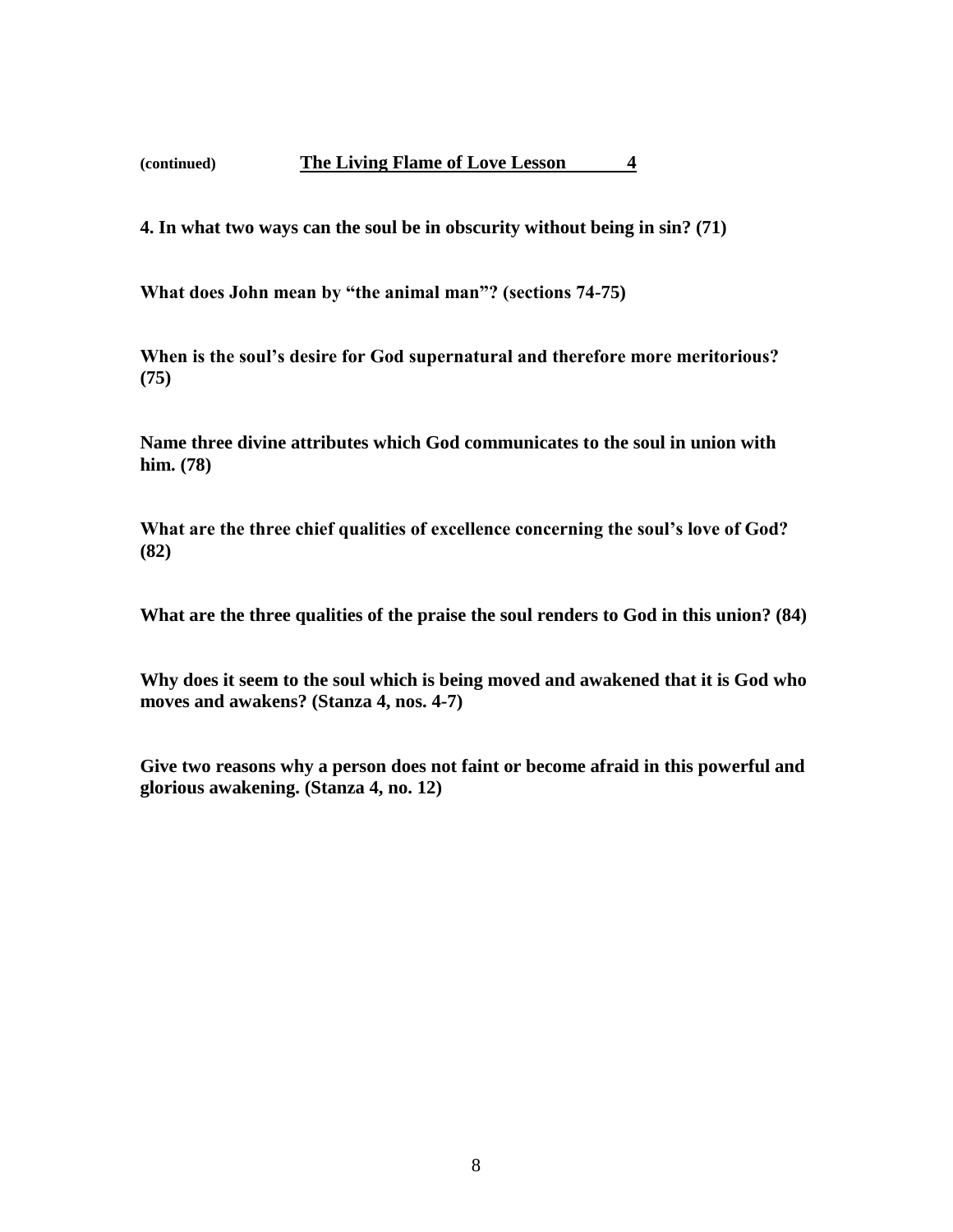**4. In what two ways can the soul be in obscurity without being in sin? (71)** 

**What does John mean by "the animal man"? (sections 74-75)** 

**When is the soul's desire for God supernatural and therefore more meritorious? (75)** 

**Name three divine attributes which God communicates to the soul in union with him. (78)** 

**What are the three chief qualities of excellence concerning the soul's love of God? (82)** 

**What are the three qualities of the praise the soul renders to God in this union? (84)** 

**Why does it seem to the soul which is being moved and awakened that it is God who moves and awakens? (Stanza 4, nos. 4-7)** 

**Give two reasons why a person does not faint or become afraid in this powerful and glorious awakening. (Stanza 4, no. 12)**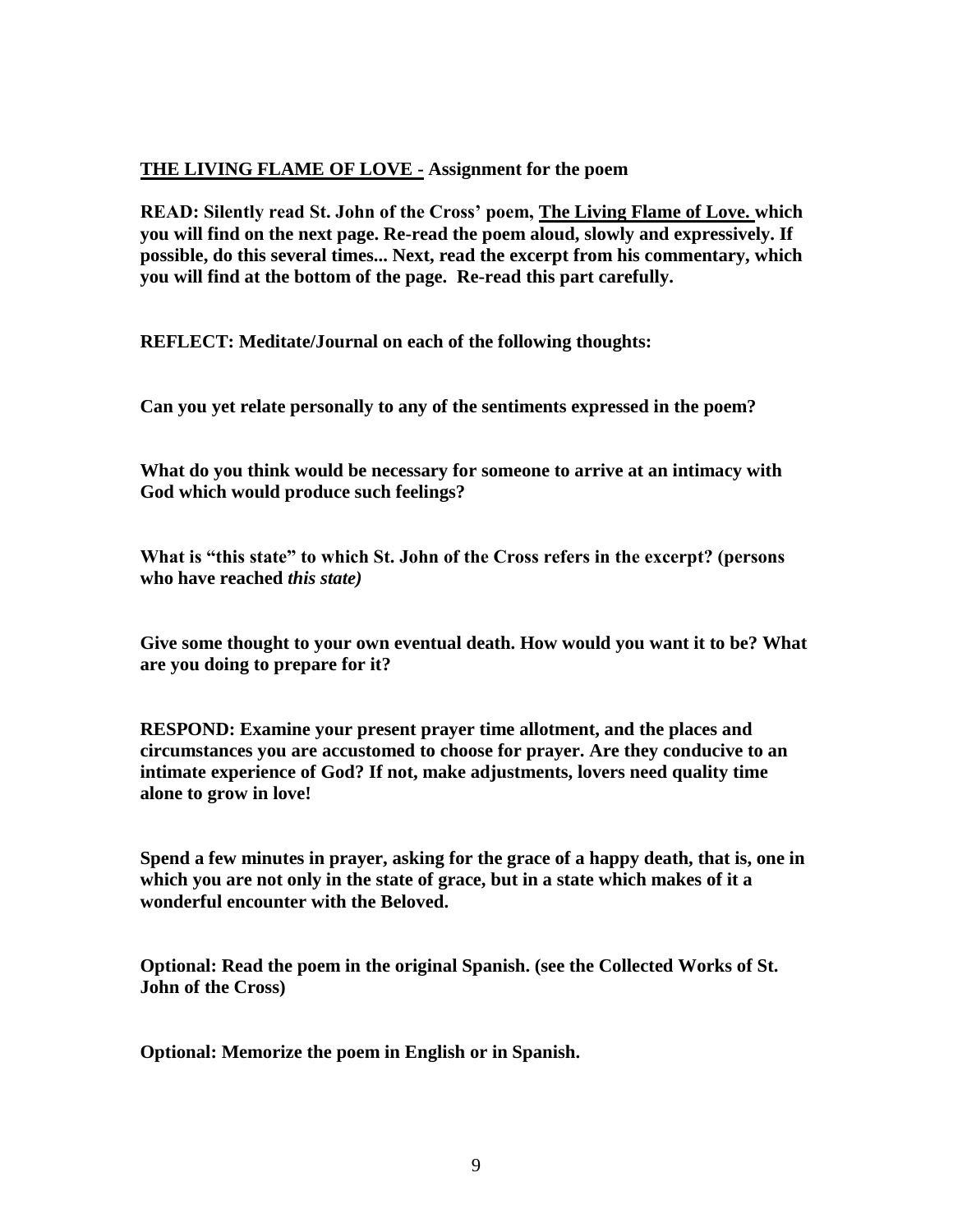# **THE LIVING FLAME OF LOVE - Assignment for the poem**

**READ: Silently read St. John of the Cross' poem, The Living Flame of Love. which you will find on the next page. Re-read the poem aloud, slowly and expressively. If possible, do this several times... Next, read the excerpt from his commentary, which you will find at the bottom of the page. Re-read this part carefully.** 

**REFLECT: Meditate/Journal on each of the following thoughts:** 

**Can you yet relate personally to any of the sentiments expressed in the poem?**

**What do you think would be necessary for someone to arrive at an intimacy with God which would produce such feelings?** 

**What is "this state" to which St. John of the Cross refers in the excerpt? (persons who have reached** *this state)* 

**Give some thought to your own eventual death. How would you want it to be? What are you doing to prepare for it?** 

**RESPOND: Examine your present prayer time allotment, and the places and circumstances you are accustomed to choose for prayer. Are they conducive to an intimate experience of God? If not, make adjustments, lovers need quality time alone to grow in love!** 

**Spend a few minutes in prayer, asking for the grace of a happy death, that is, one in which you are not only in the state of grace, but in a state which makes of it a wonderful encounter with the Beloved.** 

**Optional: Read the poem in the original Spanish. (see the Collected Works of St. John of the Cross)** 

**Optional: Memorize the poem in English or in Spanish.**